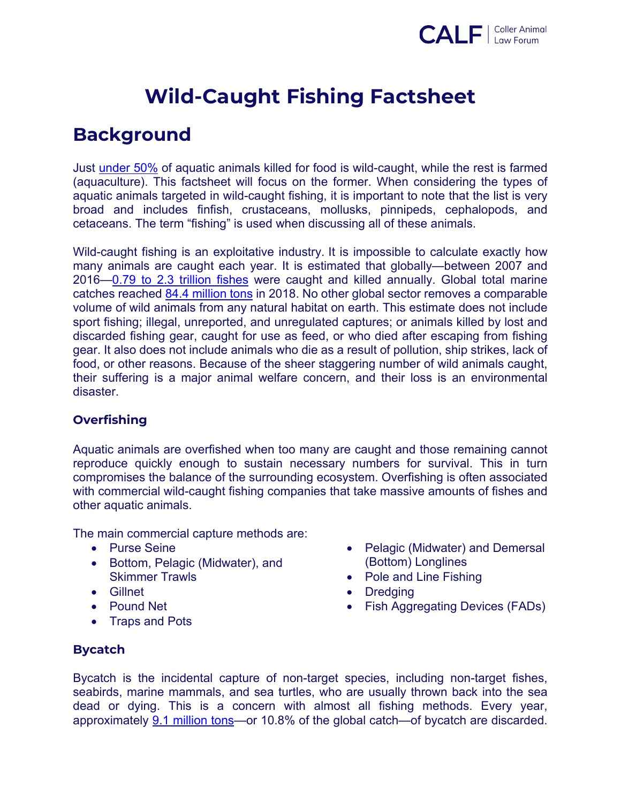

# **Wild-Caught Fishing Factsheet**

# **Background**

Just under 50% of aquatic animals killed for food is wild-caught, while the rest is farmed (aquaculture). This factsheet will focus on the former. When considering the types of aquatic animals targeted in wild-caught fishing, it is important to note that the list is very broad and includes finfish, crustaceans, mollusks, pinnipeds, cephalopods, and cetaceans. The term "fishing" is used when discussing all of these animals.

Wild-caught fishing is an exploitative industry. It is impossible to calculate exactly how many animals are caught each year. It is estimated that globally—between 2007 and 2016—0.79 to 2.3 trillion fishes were caught and killed annually. Global total marine catches reached 84.4 million tons in 2018. No other global sector removes a comparable volume of wild animals from any natural habitat on earth. This estimate does not include sport fishing; illegal, unreported, and unregulated captures; or animals killed by lost and discarded fishing gear, caught for use as feed, or who died after escaping from fishing gear. It also does not include animals who die as a result of pollution, ship strikes, lack of food, or other reasons. Because of the sheer staggering number of wild animals caught, their suffering is a major animal welfare concern, and their loss is an environmental disaster.

#### **Overfishing**

Aquatic animals are overfished when too many are caught and those remaining cannot reproduce quickly enough to sustain necessary numbers for survival. This in turn compromises the balance of the surrounding ecosystem. Overfishing is often associated with commercial wild-caught fishing companies that take massive amounts of fishes and other aquatic animals.

The main commercial capture methods are:

- Purse Seine
- Bottom, Pelagic (Midwater), and Skimmer Trawls
- Gillnet
- Pound Net
- Traps and Pots
- Pelagic (Midwater) and Demersal (Bottom) Longlines
- Pole and Line Fishing
- Dredging
- Fish Aggregating Devices (FADs)

#### **Bycatch**

Bycatch is the incidental capture of non-target species, including non-target fishes, seabirds, marine mammals, and sea turtles, who are usually thrown back into the sea dead or dying. This is a concern with almost all fishing methods. Every year, approximately 9.1 million tons—or 10.8% of the global catch—of bycatch are discarded.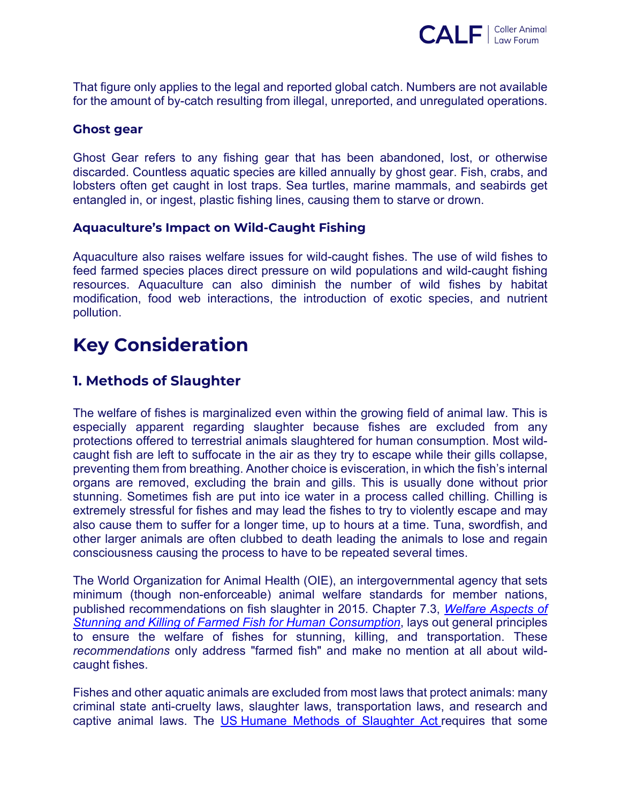

That figure only applies to the legal and reported global catch. Numbers are not available for the amount of by-catch resulting from illegal, unreported, and unregulated operations.

#### **Ghost gear**

Ghost Gear refers to any fishing gear that has been abandoned, lost, or otherwise discarded. Countless aquatic species are killed annually by ghost gear. Fish, crabs, and lobsters often get caught in lost traps. Sea turtles, marine mammals, and seabirds get entangled in, or ingest, plastic fishing lines, causing them to starve or drown.

#### **Aquaculture's Impact on Wild-Caught Fishing**

Aquaculture also raises welfare issues for wild-caught fishes. The use of wild fishes to feed farmed species places direct pressure on wild populations and wild-caught fishing resources. Aquaculture can also diminish the number of wild fishes by habitat modification, food web interactions, the introduction of exotic species, and nutrient pollution.

# **Key Consideration**

#### **1. Methods of Slaughter**

The welfare of fishes is marginalized even within the growing field of animal law. This is especially apparent regarding slaughter because fishes are excluded from any protections offered to terrestrial animals slaughtered for human consumption. Most wildcaught fish are left to suffocate in the air as they try to escape while their gills collapse, preventing them from breathing. Another choice is evisceration, in which the fish's internal organs are removed, excluding the brain and gills. This is usually done without prior stunning. Sometimes fish are put into ice water in a process called chilling. Chilling is extremely stressful for fishes and may lead the fishes to try to violently escape and may also cause them to suffer for a longer time, up to hours at a time. Tuna, swordfish, and other larger animals are often clubbed to death leading the animals to lose and regain consciousness causing the process to have to be repeated several times.

The World Organization for Animal Health (OIE), an intergovernmental agency that sets minimum (though non-enforceable) animal welfare standards for member nations, published recommendations on fish slaughter in 2015. Chapter 7.3, *Welfare Aspects of Stunning and Killing of Farmed Fish for Human Consumption*, lays out general principles to ensure the welfare of fishes for stunning, killing, and transportation. These *recommendations* only address "farmed fish" and make no mention at all about wildcaught fishes.

Fishes and other aquatic animals are excluded from most laws that protect animals: many criminal state anti-cruelty laws, slaughter laws, transportation laws, and research and captive animal laws. The US Humane Methods of Slaughter Act requires that some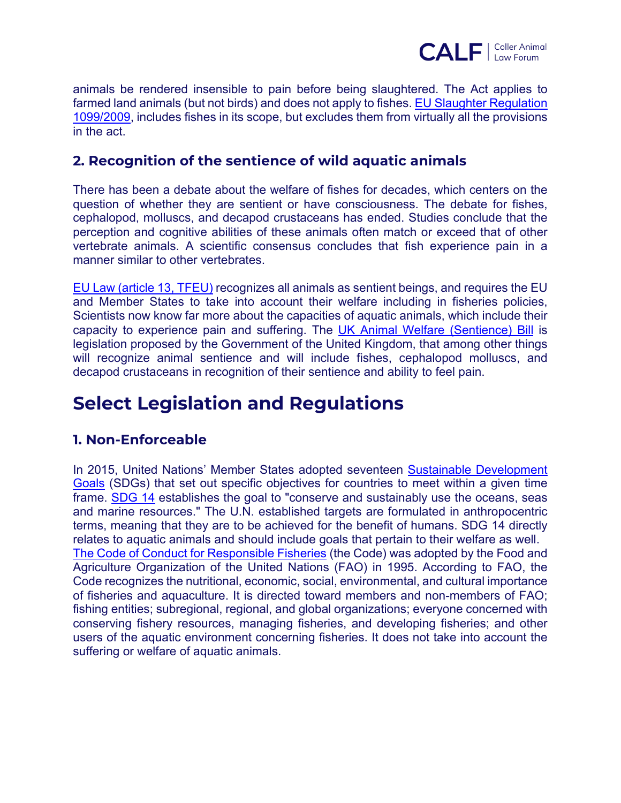

animals be rendered insensible to pain before being slaughtered. The Act applies to farmed land animals (but not birds) and does not apply to fishes. EU Slaughter Regulation 1099/2009, includes fishes in its scope, but excludes them from virtually all the provisions in the act.

#### **2. Recognition of the sentience of wild aquatic animals**

There has been a debate about the welfare of fishes for decades, which centers on the question of whether they are sentient or have consciousness. The debate for fishes, cephalopod, molluscs, and decapod crustaceans has ended. Studies conclude that the perception and cognitive abilities of these animals often match or exceed that of other vertebrate animals. A scientific consensus concludes that fish experience pain in a manner similar to other vertebrates.

EU Law (article 13, TFEU) recognizes all animals as sentient beings, and requires the EU and Member States to take into account their welfare including in fisheries policies, Scientists now know far more about the capacities of aquatic animals, which include their capacity to experience pain and suffering. The UK Animal Welfare (Sentience) Bill is legislation proposed by the Government of the United Kingdom, that among other things will recognize animal sentience and will include fishes, cephalopod molluscs, and decapod crustaceans in recognition of their sentience and ability to feel pain.

# **Select Legislation and Regulations**

### **1. Non-Enforceable**

In 2015, United Nations' Member States adopted seventeen Sustainable Development Goals (SDGs) that set out specific objectives for countries to meet within a given time frame. SDG 14 establishes the goal to "conserve and sustainably use the oceans, seas and marine resources." The U.N. established targets are formulated in anthropocentric terms, meaning that they are to be achieved for the benefit of humans. SDG 14 directly relates to aquatic animals and should include goals that pertain to their welfare as well. The Code of Conduct for Responsible Fisheries (the Code) was adopted by the Food and Agriculture Organization of the United Nations (FAO) in 1995. According to FAO, the Code recognizes the nutritional, economic, social, environmental, and cultural importance of fisheries and aquaculture. It is directed toward members and non-members of FAO; fishing entities; subregional, regional, and global organizations; everyone concerned with conserving fishery resources, managing fisheries, and developing fisheries; and other users of the aquatic environment concerning fisheries. It does not take into account the suffering or welfare of aquatic animals.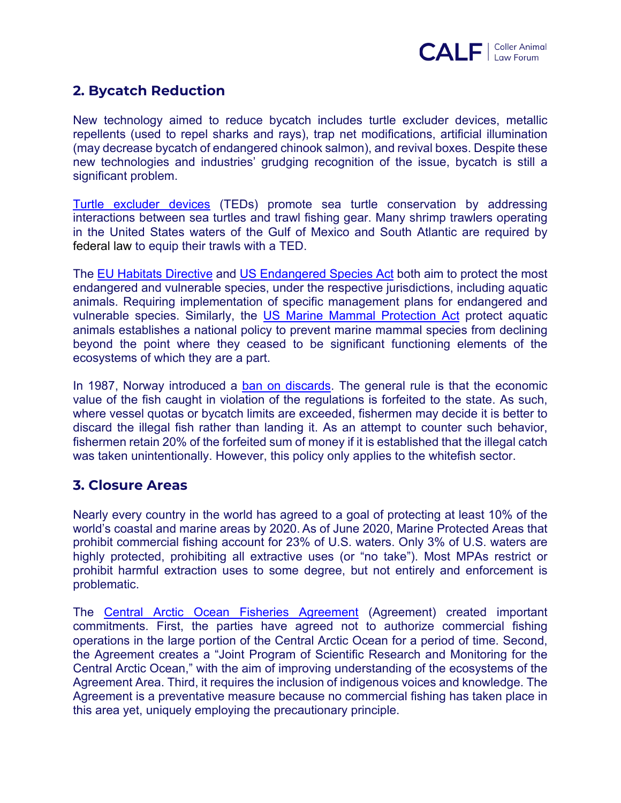

### **2. Bycatch Reduction**

New technology aimed to reduce bycatch includes turtle excluder devices, metallic repellents (used to repel sharks and rays), trap net modifications, artificial illumination (may decrease bycatch of endangered chinook salmon), and revival boxes. Despite these new technologies and industries' grudging recognition of the issue, bycatch is still a significant problem.

Turtle excluder devices (TEDs) promote sea turtle conservation by addressing interactions between sea turtles and trawl fishing gear. Many shrimp trawlers operating in the United States waters of the Gulf of Mexico and South Atlantic are required by federal law to equip their trawls with a TED.

The EU Habitats Directive and US Endangered Species Act both aim to protect the most endangered and vulnerable species, under the respective jurisdictions, including aquatic animals. Requiring implementation of specific management plans for endangered and vulnerable species. Similarly, the US Marine Mammal Protection Act protect aquatic animals establishes a national policy to prevent marine mammal species from declining beyond the point where they ceased to be significant functioning elements of the ecosystems of which they are a part.

In 1987, Norway introduced a ban on discards. The general rule is that the economic value of the fish caught in violation of the regulations is forfeited to the state. As such, where vessel quotas or bycatch limits are exceeded, fishermen may decide it is better to discard the illegal fish rather than landing it. As an attempt to counter such behavior, fishermen retain 20% of the forfeited sum of money if it is established that the illegal catch was taken unintentionally. However, this policy only applies to the whitefish sector.

#### **3. Closure Areas**

Nearly every country in the world has agreed to a goal of protecting at least 10% of the world's coastal and marine areas by 2020. As of June 2020, Marine Protected Areas that prohibit commercial fishing account for 23% of U.S. waters. Only 3% of U.S. waters are highly protected, prohibiting all extractive uses (or "no take"). Most MPAs restrict or prohibit harmful extraction uses to some degree, but not entirely and enforcement is problematic.

The Central Arctic Ocean Fisheries Agreement (Agreement) created important commitments. First, the parties have agreed not to authorize commercial fishing operations in the large portion of the Central Arctic Ocean for a period of time. Second, the Agreement creates a "Joint Program of Scientific Research and Monitoring for the Central Arctic Ocean," with the aim of improving understanding of the ecosystems of the Agreement Area. Third, it requires the inclusion of indigenous voices and knowledge. The Agreement is a preventative measure because no commercial fishing has taken place in this area yet, uniquely employing the precautionary principle.